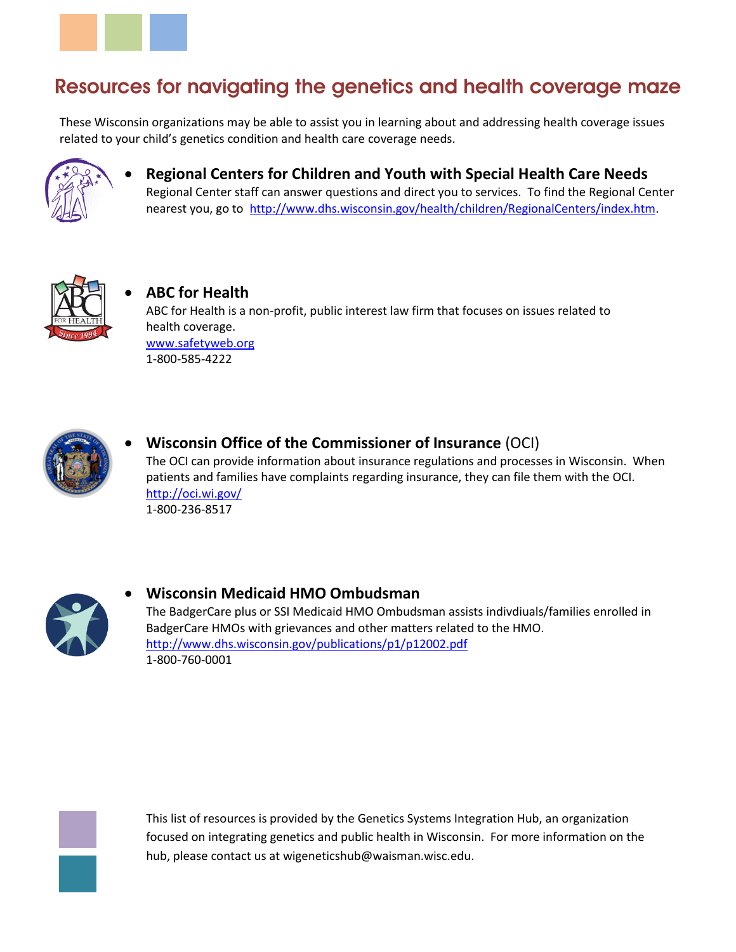

## **Resources for navigating the genetics and health coverage maze**

These Wisconsin organizations may be able to assist you in learning about and addressing health coverage issues related to your child's genetics condition and health care coverage needs.



 **Regional Centers for Children and Youth with Special Health Care Needs** Regional Center staff can answer questions and direct you to services. To find the Regional Center nearest you, go to [http://www.dhs.wisconsin.gov/health/children/RegionalCenters/index.htm.](http://www.dhs.wisconsin.gov/health/children/RegionalCenters/index.htm)



 **ABC for Health** ABC for Health is a non-profit, public interest law firm that focuses on issues related to health coverage. [www.safetyweb.org](http://www.safetyweb.org/) 1-800-585-4222



 **Wisconsin Office of the Commissioner of Insurance** (OCI) The OCI can provide information about insurance regulations and processes in Wisconsin. When patients and families have complaints regarding insurance, they can file them with the OCI. <http://oci.wi.gov/> 1-800-236-8517



## **Wisconsin Medicaid HMO Ombudsman** The BadgerCare plus or SSI Medicaid HMO Ombudsman assists indivdiuals/families enrolled in BadgerCare HMOs with grievances and other matters related to the HMO.

<http://www.dhs.wisconsin.gov/publications/p1/p12002.pdf> 1-800-760-0001



This list of resources is provided by the Genetics Systems Integration Hub, an organization focused on integrating genetics and public health in Wisconsin. For more information on the hub, please contact us at wigeneticshub@waisman.wisc.edu.